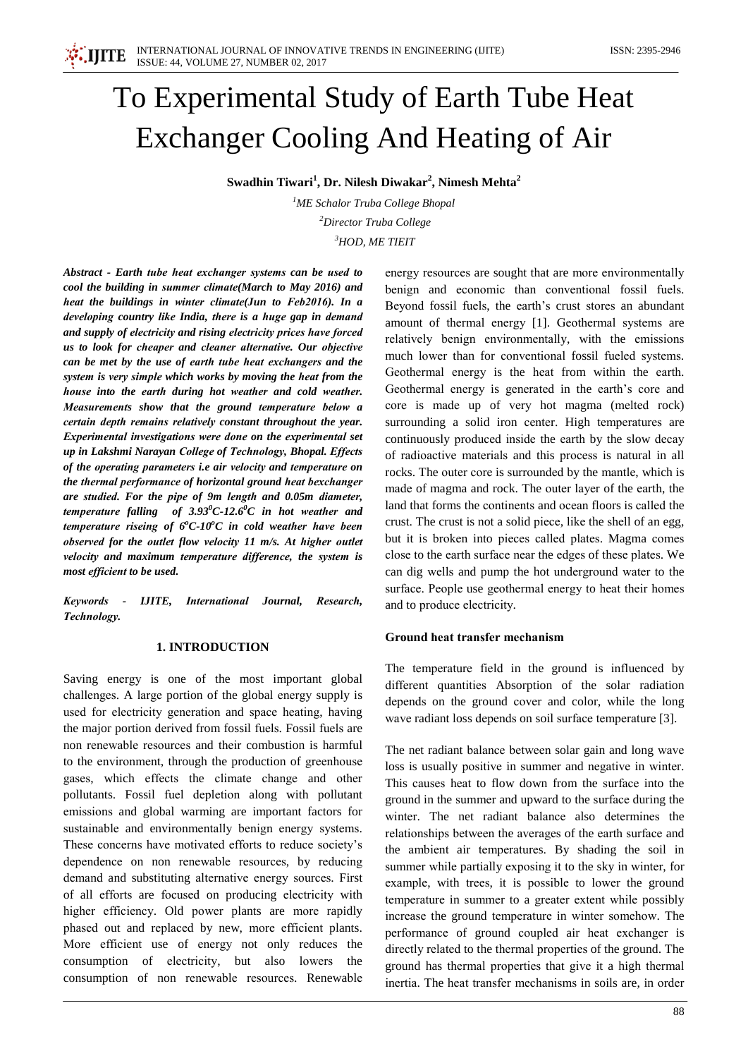# To Experimental Study of Earth Tube Heat **Exchanger Cooling And Heating of Air**

Swadhin Tiwari<sup>1</sup>, Dr. Nilesh Diwakar<sup>2</sup>, Nimesh Mehta<sup>2</sup>

 ${}^{1}$ ME Schalor Truba College Bhopal <sup>2</sup>Director Truba College  $3HOD, ME TIEIT$ 

Abstract - Earth tube heat exchanger systems can be used to cool the building in summer climate(March to May 2016) and heat the buildings in winter climate(Jun to Feb2016). In a developing country like India, there is a huge gap in demand and supply of electricity and rising electricity prices have forced us to look for cheaper and cleaner alternative. Our objective can be met by the use of earth tube heat exchangers and the system is very simple which works by moving the heat from the house into the earth during hot weather and cold weather. Measurements show that the ground temperature below a certain depth remains relatively constant throughout the year. Experimental investigations were done on the experimental set up in Lakshmi Narayan College of Technology, Bhopal. Effects of the operating parameters i.e air velocity and temperature on the thermal performance of horizontal ground heat bexchanger are studied. For the pipe of 9m length and 0.05m diameter, temperature falling of  $3.93^{\circ}$ C-12.6<sup>o</sup>C in hot weather and temperature riseing of  $6^{\circ}$ C-10 $^{\circ}$ C in cold weather have been observed for the outlet flow velocity 11 m/s. At higher outlet velocity and maximum temperature difference, the system is most efficient to be used.

Keywords - IJITE, International Journal, Research. Technology.

#### **1. INTRODUCTION**

Saving energy is one of the most important global challenges. A large portion of the global energy supply is used for electricity generation and space heating, having the major portion derived from fossil fuels. Fossil fuels are non renewable resources and their combustion is harmful to the environment, through the production of greenhouse gases, which effects the climate change and other pollutants. Fossil fuel depletion along with pollutant emissions and global warming are important factors for sustainable and environmentally benign energy systems. These concerns have motivated efforts to reduce society's dependence on non renewable resources, by reducing demand and substituting alternative energy sources. First of all efforts are focused on producing electricity with higher efficiency. Old power plants are more rapidly phased out and replaced by new, more efficient plants. More efficient use of energy not only reduces the consumption of electricity, but also lowers the consumption of non renewable resources. Renewable

energy resources are sought that are more environmentally benign and economic than conventional fossil fuels. Beyond fossil fuels, the earth's crust stores an abundant amount of thermal energy [1]. Geothermal systems are relatively benign environmentally, with the emissions much lower than for conventional fossil fueled systems. Geothermal energy is the heat from within the earth. Geothermal energy is generated in the earth's core and core is made up of very hot magma (melted rock) surrounding a solid iron center. High temperatures are continuously produced inside the earth by the slow decay of radioactive materials and this process is natural in all rocks. The outer core is surrounded by the mantle, which is made of magma and rock. The outer layer of the earth, the land that forms the continents and ocean floors is called the crust. The crust is not a solid piece, like the shell of an egg. but it is broken into pieces called plates. Magma comes close to the earth surface near the edges of these plates. We can dig wells and pump the hot underground water to the surface. People use geothermal energy to heat their homes and to produce electricity.

## Ground heat transfer mechanism

The temperature field in the ground is influenced by different quantities Absorption of the solar radiation depends on the ground cover and color, while the long wave radiant loss depends on soil surface temperature [3].

The net radiant balance between solar gain and long wave loss is usually positive in summer and negative in winter. This causes heat to flow down from the surface into the ground in the summer and upward to the surface during the winter. The net radiant balance also determines the relationships between the averages of the earth surface and the ambient air temperatures. By shading the soil in summer while partially exposing it to the sky in winter, for example, with trees, it is possible to lower the ground temperature in summer to a greater extent while possibly increase the ground temperature in winter somehow. The performance of ground coupled air heat exchanger is directly related to the thermal properties of the ground. The ground has thermal properties that give it a high thermal inertia. The heat transfer mechanisms in soils are, in order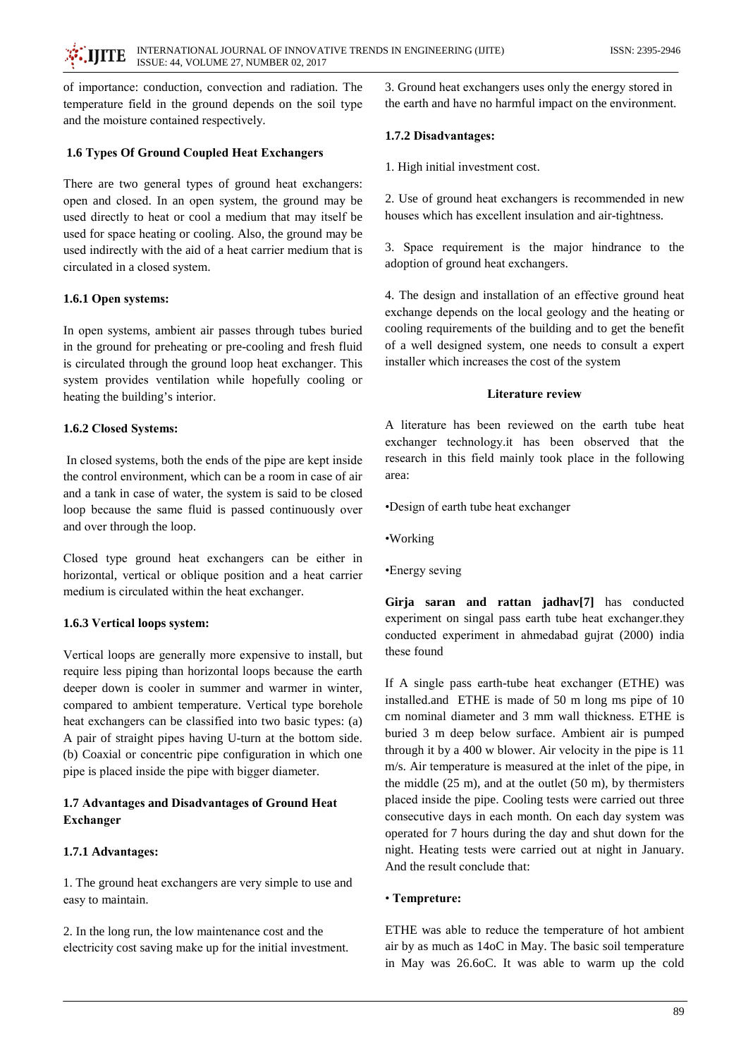of importance: conduction, convection and radiation. The temperature field in the ground depends on the soil type and the moisture contained respectively.

## 1.6 Types Of Ground Coupled Heat Exchangers

There are two general types of ground heat exchangers: open and closed. In an open system, the ground may be used directly to heat or cool a medium that may itself be used for space heating or cooling. Also, the ground may be used indirectly with the aid of a heat carrier medium that is circulated in a closed system.

## 1.6.1 Open systems:

In open systems, ambient air passes through tubes buried in the ground for preheating or pre-cooling and fresh fluid is circulated through the ground loop heat exchanger. This system provides ventilation while hopefully cooling or heating the building's interior.

## 1.6.2 Closed Systems:

In closed systems, both the ends of the pipe are kept inside the control environment, which can be a room in case of air and a tank in case of water, the system is said to be closed loop because the same fluid is passed continuously over and over through the loop.

Closed type ground heat exchangers can be either in horizontal, vertical or oblique position and a heat carrier medium is circulated within the heat exchanger.

# 1.6.3 Vertical loops system:

Vertical loops are generally more expensive to install, but require less piping than horizontal loops because the earth deeper down is cooler in summer and warmer in winter, compared to ambient temperature. Vertical type borehole heat exchangers can be classified into two basic types: (a) A pair of straight pipes having U-turn at the bottom side. (b) Coaxial or concentric pipe configuration in which one pipe is placed inside the pipe with bigger diameter.

# 1.7 Advantages and Disadvantages of Ground Heat Exchanger

# 1.7.1 Advantages:

1. The ground heat exchangers are very simple to use and easy to maintain.

2. In the long run, the low maintenance cost and the electricity cost saving make up for the initial investment.

3. Ground heat exchangers uses only the energy stored in the earth and have no harmful impact on the environment.

## 1.7.2 Disadvantages:

1. High initial investment cost.

2. Use of ground heat exchangers is recommended in new houses which has excellent insulation and air-tightness.

3. Space requirement is the major hindrance to the adoption of ground heat exchangers.

4. The design and installation of an effective ground heat exchange depends on the local geology and the heating or cooling requirements of the building and to get the benefit of a well designed system, one needs to consult a expert installer which increases the cost of the system

## **Literature review**

A literature has been reviewed on the earth tube heat exchanger technology.it has been observed that the research in this field mainly took place in the following area:

•Design of earth tube heat exchanger

- •Working
- •Energy seving

Girja saran and rattan jadhav[7] has conducted experiment on singal pass earth tube heat exchanger.they conducted experiment in ahmedabad gujrat (2000) india these found

If A single pass earth-tube heat exchanger (ETHE) was installed.and ETHE is made of 50 m long ms pipe of 10 cm nominal diameter and 3 mm wall thickness. ETHE is buried 3 m deep below surface. Ambient air is pumped through it by a 400 w blower. Air velocity in the pipe is 11 m/s. Air temperature is measured at the inlet of the pipe, in the middle  $(25 \text{ m})$ , and at the outlet  $(50 \text{ m})$ , by thermisters placed inside the pipe. Cooling tests were carried out three consecutive days in each month. On each day system was operated for 7 hours during the day and shut down for the night. Heating tests were carried out at night in January. And the result conclude that:

## • Tempreture:

ETHE was able to reduce the temperature of hot ambient air by as much as 14oC in May. The basic soil temperature in May was 26.6oC. It was able to warm up the cold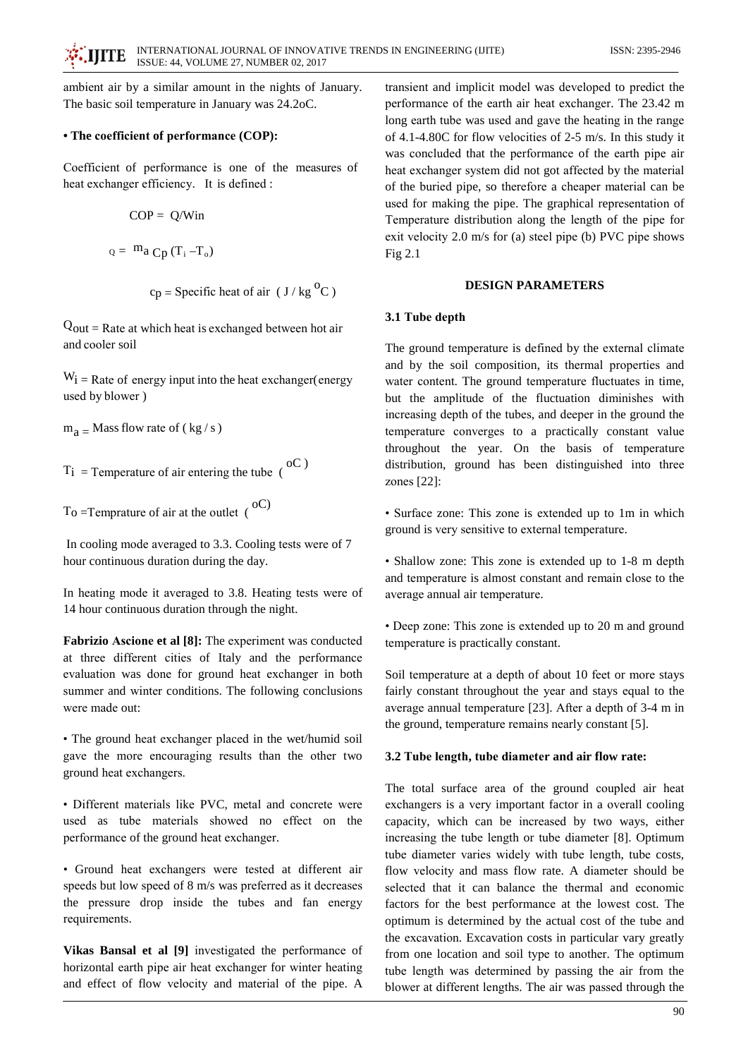ambient air by a similar amount in the nights of January. The basic soil temperature in January was 24.2oC.

## • The coefficient of performance (COP):

Coefficient of performance is one of the measures of heat exchanger efficiency. It is defined :

$$
COP = Q/Win
$$

 $Q =$ <sup>m</sup>a C<sub>p</sub> (T<sub>i</sub> -T<sub>o</sub>)

$$
c_p
$$
 = Specific heat of air ( $J / kg^{o}$ C)

 $Q_{out}$  = Rate at which heat is exchanged between hot air and cooler soil

 $W_i$  = Rate of energy input into the heat exchanger (energy used by blower)

 $m_a$  = Mass flow rate of (kg/s)

 $T_i$  = Temperature of air entering the tube ( $^{oC}$ )

 $T_0$  = Temprature of air at the outlet (<sup>oC)</sup>

In cooling mode averaged to 3.3. Cooling tests were of 7 hour continuous duration during the day.

In heating mode it averaged to 3.8. Heating tests were of 14 hour continuous duration through the night.

Fabrizio Ascione et al [8]: The experiment was conducted at three different cities of Italy and the performance evaluation was done for ground heat exchanger in both summer and winter conditions. The following conclusions were made out:

• The ground heat exchanger placed in the wet/humid soil gave the more encouraging results than the other two ground heat exchangers.

· Different materials like PVC, metal and concrete were used as tube materials showed no effect on the performance of the ground heat exchanger.

• Ground heat exchangers were tested at different air speeds but low speed of 8 m/s was preferred as it decreases the pressure drop inside the tubes and fan energy requirements.

Vikas Bansal et al [9] investigated the performance of horizontal earth pipe air heat exchanger for winter heating and effect of flow velocity and material of the pipe. A

transient and implicit model was developed to predict the performance of the earth air heat exchanger. The 23.42 m long earth tube was used and gave the heating in the range of 4.1-4.80C for flow velocities of 2-5 m/s. In this study it was concluded that the performance of the earth pipe air heat exchanger system did not got affected by the material of the buried pipe, so therefore a cheaper material can be used for making the pipe. The graphical representation of Temperature distribution along the length of the pipe for exit velocity 2.0 m/s for (a) steel pipe (b) PVC pipe shows Fig  $2.1$ 

## **DESIGN PARAMETERS**

## 3.1 Tube depth

The ground temperature is defined by the external climate and by the soil composition, its thermal properties and water content. The ground temperature fluctuates in time, but the amplitude of the fluctuation diminishes with increasing depth of the tubes, and deeper in the ground the temperature converges to a practically constant value throughout the year. On the basis of temperature distribution, ground has been distinguished into three zones  $[22]$ :

• Surface zone: This zone is extended up to 1m in which ground is very sensitive to external temperature.

• Shallow zone: This zone is extended up to 1-8 m depth and temperature is almost constant and remain close to the average annual air temperature.

• Deep zone: This zone is extended up to 20 m and ground temperature is practically constant.

Soil temperature at a depth of about 10 feet or more stays fairly constant throughout the year and stays equal to the average annual temperature [23]. After a depth of 3-4 m in the ground, temperature remains nearly constant [5].

## 3.2 Tube length, tube diameter and air flow rate:

The total surface area of the ground coupled air heat exchangers is a very important factor in a overall cooling capacity, which can be increased by two ways, either increasing the tube length or tube diameter [8]. Optimum tube diameter varies widely with tube length, tube costs, flow velocity and mass flow rate. A diameter should be selected that it can balance the thermal and economic factors for the best performance at the lowest cost. The optimum is determined by the actual cost of the tube and the excavation. Excavation costs in particular vary greatly from one location and soil type to another. The optimum tube length was determined by passing the air from the blower at different lengths. The air was passed through the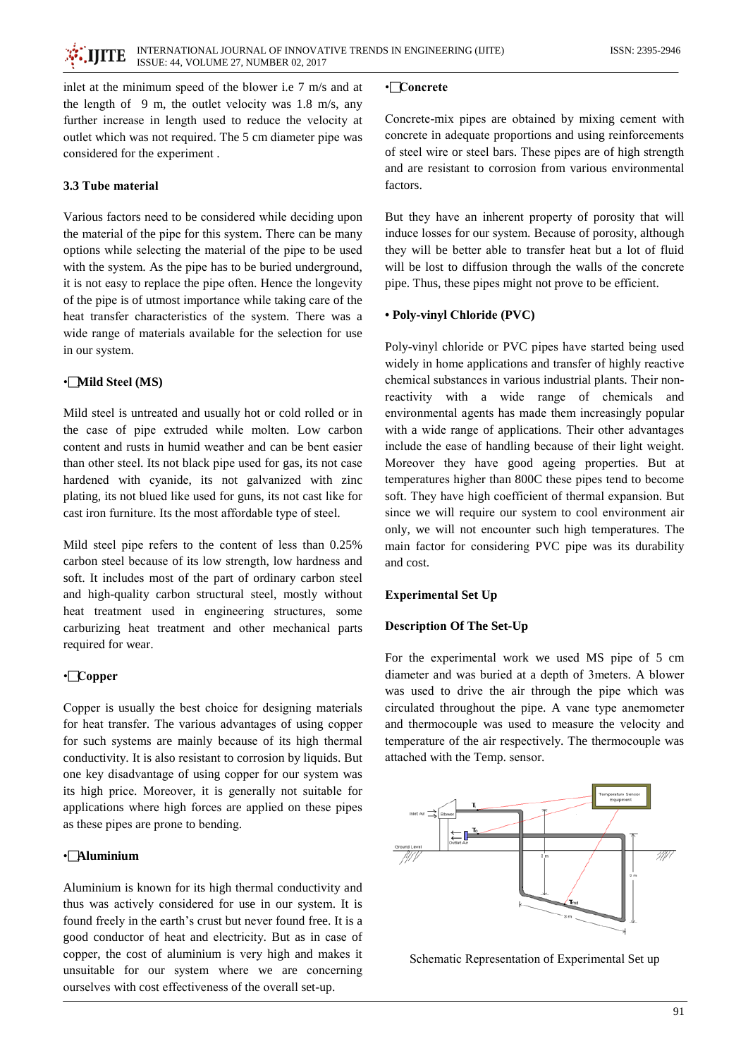inlet at the minimum speed of the blower i.e 7 m/s and at the length of  $9 \text{ m}$ , the outlet velocity was 1.8 m/s, any further increase in length used to reduce the velocity at outlet which was not required. The 5 cm diameter pipe was considered for the experiment.

## 3.3 Tube material

Various factors need to be considered while deciding upon the material of the pipe for this system. There can be many options while selecting the material of the pipe to be used with the system. As the pipe has to be buried underground, it is not easy to replace the pipe often. Hence the longevity of the pipe is of utmost importance while taking care of the heat transfer characteristics of the system. There was a wide range of materials available for the selection for use in our system.

## •Mild Steel (MS)

Mild steel is untreated and usually hot or cold rolled or in the case of pipe extruded while molten. Low carbon content and rusts in humid weather and can be bent easier than other steel. Its not black pipe used for gas, its not case hardened with cyanide, its not galvanized with zinc plating, its not blued like used for guns, its not cast like for cast iron furniture. Its the most affordable type of steel.

Mild steel pipe refers to the content of less than 0.25% carbon steel because of its low strength, low hardness and soft. It includes most of the part of ordinary carbon steel and high-quality carbon structural steel, mostly without heat treatment used in engineering structures, some carburizing heat treatment and other mechanical parts required for wear.

## $\cdot$  Copper

Copper is usually the best choice for designing materials for heat transfer. The various advantages of using copper for such systems are mainly because of its high thermal conductivity. It is also resistant to corrosion by liquids. But one key disadvantage of using copper for our system was its high price. Moreover, it is generally not suitable for applications where high forces are applied on these pipes as these pipes are prone to bending.

## •**Aluminium**

Aluminium is known for its high thermal conductivity and thus was actively considered for use in our system. It is found freely in the earth's crust but never found free. It is a good conductor of heat and electricity. But as in case of copper, the cost of aluminium is very high and makes it unsuitable for our system where we are concerning ourselves with cost effectiveness of the overall set-up.

#### •<sup>Concrete</sup>

Concrete-mix pipes are obtained by mixing cement with concrete in adequate proportions and using reinforcements of steel wire or steel bars. These pipes are of high strength and are resistant to corrosion from various environmental factors.

But they have an inherent property of porosity that will induce losses for our system. Because of porosity, although they will be better able to transfer heat but a lot of fluid will be lost to diffusion through the walls of the concrete pipe. Thus, these pipes might not prove to be efficient.

#### • Poly-vinyl Chloride (PVC)

Poly-vinyl chloride or PVC pipes have started being used widely in home applications and transfer of highly reactive chemical substances in various industrial plants. Their nonreactivity with a wide range of chemicals and environmental agents has made them increasingly popular with a wide range of applications. Their other advantages include the ease of handling because of their light weight. Moreover they have good ageing properties. But at temperatures higher than 800C these pipes tend to become soft. They have high coefficient of thermal expansion. But since we will require our system to cool environment air only, we will not encounter such high temperatures. The main factor for considering PVC pipe was its durability and cost.

#### **Experimental Set Up**

## **Description Of The Set-Up**

For the experimental work we used MS pipe of 5 cm diameter and was buried at a depth of 3meters. A blower was used to drive the air through the pipe which was circulated throughout the pipe. A vane type anemometer and thermocouple was used to measure the velocity and temperature of the air respectively. The thermocouple was attached with the Temp. sensor.



Schematic Representation of Experimental Set up